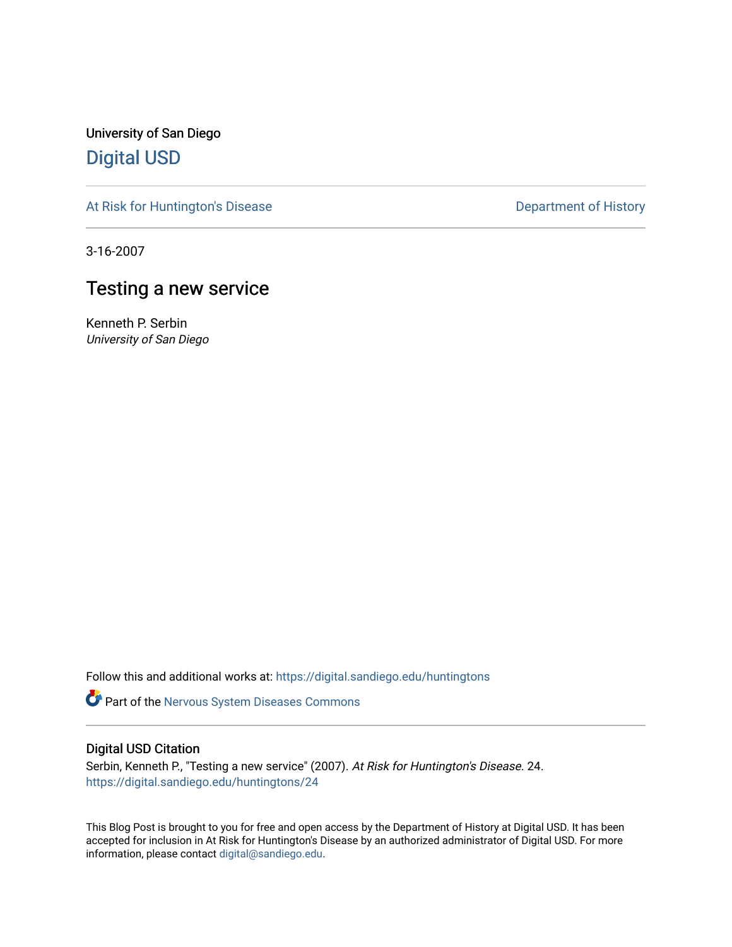University of San Diego [Digital USD](https://digital.sandiego.edu/)

[At Risk for Huntington's Disease](https://digital.sandiego.edu/huntingtons) **Department of History** Department of History

3-16-2007

# Testing a new service

Kenneth P. Serbin University of San Diego

Follow this and additional works at: [https://digital.sandiego.edu/huntingtons](https://digital.sandiego.edu/huntingtons?utm_source=digital.sandiego.edu%2Fhuntingtons%2F24&utm_medium=PDF&utm_campaign=PDFCoverPages)

**Part of the [Nervous System Diseases Commons](http://network.bepress.com/hgg/discipline/928?utm_source=digital.sandiego.edu%2Fhuntingtons%2F24&utm_medium=PDF&utm_campaign=PDFCoverPages)** 

## Digital USD Citation

Serbin, Kenneth P., "Testing a new service" (2007). At Risk for Huntington's Disease. 24. [https://digital.sandiego.edu/huntingtons/24](https://digital.sandiego.edu/huntingtons/24?utm_source=digital.sandiego.edu%2Fhuntingtons%2F24&utm_medium=PDF&utm_campaign=PDFCoverPages)

This Blog Post is brought to you for free and open access by the Department of History at Digital USD. It has been accepted for inclusion in At Risk for Huntington's Disease by an authorized administrator of Digital USD. For more information, please contact [digital@sandiego.edu.](mailto:digital@sandiego.edu)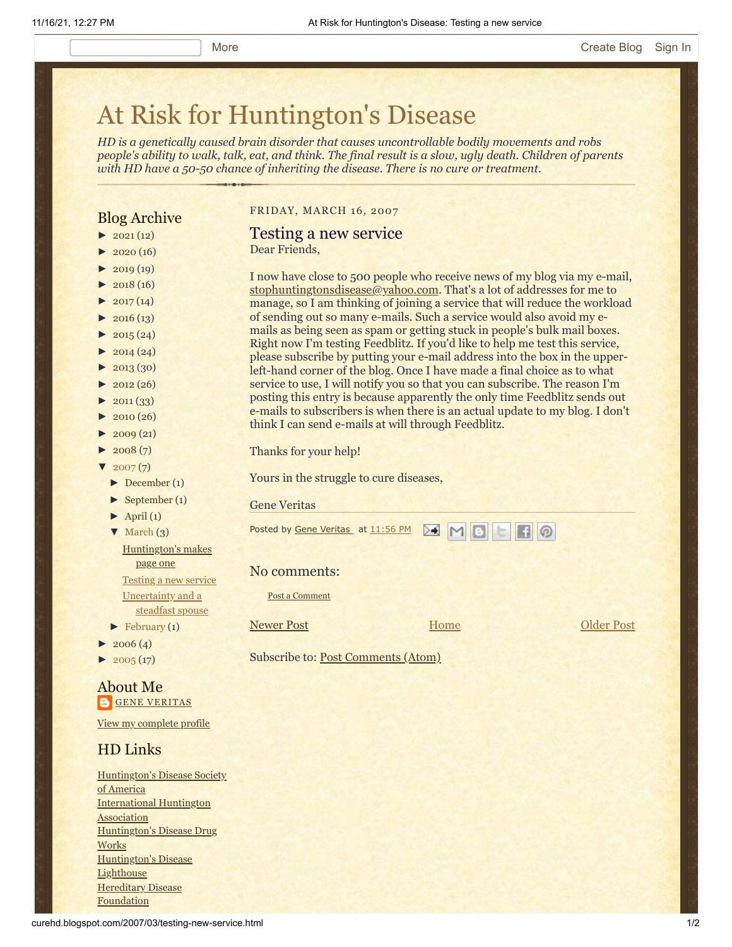# [At Risk for Huntington's Disease](http://curehd.blogspot.com/)

*HD is a genetically caused brain disorder that causes uncontrollable bodily movements and robs people's ability to walk, talk, eat, and think. The final result is a slow, ugly death. Children of parents with HD have a 50-50 chance of inheriting the disease. There is no cure or treatment.*

## Blog Archive

- $\blacktriangleright$  [2021](http://curehd.blogspot.com/2021/) (12)
- $2020(16)$  $2020(16)$
- $2019(19)$  $2019(19)$
- $\blacktriangleright$  [2018](http://curehd.blogspot.com/2018/) (16)
- $2017(14)$  $2017(14)$
- $2016(13)$  $2016(13)$
- $\blacktriangleright$  [2015](http://curehd.blogspot.com/2015/) (24)
- $\blacktriangleright$  [2014](http://curehd.blogspot.com/2014/) (24)
- $\blacktriangleright$  [2013](http://curehd.blogspot.com/2013/) (30)
- $\blacktriangleright$  [2012](http://curehd.blogspot.com/2012/) (26)
- $\blacktriangleright$  [2011](http://curehd.blogspot.com/2011/) (33)
- $\blacktriangleright$  [2010](http://curehd.blogspot.com/2010/) (26)
- $-2009(21)$  $-2009(21)$  $-2009(21)$
- $\blacktriangleright$  [2008](http://curehd.blogspot.com/2008/) $(7)$
- $\sqrt{2007(7)}$  $\sqrt{2007(7)}$  $\sqrt{2007(7)}$
- [►](javascript:void(0)) [December](http://curehd.blogspot.com/2007/12/) (1)
- [►](javascript:void(0)) [September](http://curehd.blogspot.com/2007/09/) (1)
- $\blacktriangleright$  [April](http://curehd.blogspot.com/2007/04/) (1)
- [▼](javascript:void(0)) [March](http://curehd.blogspot.com/2007/03/) (3)
	- [Huntington's](http://curehd.blogspot.com/2007/03/huntingtons-makes-page-one.html) makes page one [Testing](http://curehd.blogspot.com/2007/03/testing-new-service.html) a new service [Uncertainty](http://curehd.blogspot.com/2007/03/uncertainty-and-steadfast-spouse.html) and a
- steadfast spouse  $\blacktriangleright$  [February](http://curehd.blogspot.com/2007/02/) (1)
- $\blacktriangleright$  [2006](http://curehd.blogspot.com/2006/) (4)
- $2005(17)$  $2005(17)$

### About Me **GENE [VERITAS](https://www.blogger.com/profile/10911736205741688185)**

View my [complete](https://www.blogger.com/profile/10911736205741688185) profile

## HD Links

[Huntington's](http://www.hdsa.org/) Disease Society of America [International](http://www.huntington-assoc.com/) Huntington **Association** [Huntington's](http://hddrugworks.org/) Disease Drug **Works** [Huntington's](http://www.hdlighthouse.org/) Disease **Lighthouse Hereditary Disease [Foundation](http://www.hdfoundation.org/)** 

#### FRIDAY, MARCH 16, 2007

#### Testing a new service Dear Friends,

I now have close to 500 people who receive news of my blog via my e-mail, [stophuntingtonsdisease@yahoo.com](mailto:stophuntingtonsdisease@yahoo.com). That's a lot of addresses for me to manage, so I am thinking of joining a service that will reduce the workload of sending out so many e-mails. Such a service would also avoid my emails as being seen as spam or getting stuck in people's bulk mail boxes. Right now I'm testing Feedblitz. If you'd like to help me test this service, please subscribe by putting your e-mail address into the box in the upperleft-hand corner of the blog. Once I have made a final choice as to what service to use, I will notify you so that you can subscribe. The reason I'm posting this entry is because apparently the only time Feedblitz sends out e-mails to subscribers is when there is an actual update to my blog. I don't think I can send e-mails at will through Feedblitz.

Thanks for your help!

Yours in the struggle to cure diseases,

Gene Veritas

| Posted by Gene Veritas_ at 11:56 PM MMMMM |  |  |  |  |
|-------------------------------------------|--|--|--|--|
|-------------------------------------------|--|--|--|--|

#### No comments:

Post a [Comment](https://www.blogger.com/comment.g?blogID=10081281&postID=2048494407787417216&isPopup=true)

[Newer Post](http://curehd.blogspot.com/2007/03/huntingtons-makes-page-one.html) Newer Post Newer Post

**[Home](http://curehd.blogspot.com/)** 

Subscribe to: [Post Comments \(Atom\)](http://curehd.blogspot.com/feeds/2048494407787417216/comments/default)